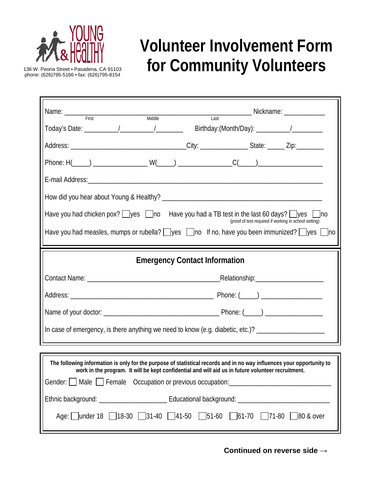

**Volunteer Involvement Form** 136 W. Peoria Street • Pasadena, CA 91103 **for Community Volunteers** 

| Name: First Middle                                                                                                                                                                                                          | Last | <u>_____________</u> Nickname: ________________       |    |
|-----------------------------------------------------------------------------------------------------------------------------------------------------------------------------------------------------------------------------|------|-------------------------------------------------------|----|
|                                                                                                                                                                                                                             |      |                                                       |    |
|                                                                                                                                                                                                                             |      |                                                       |    |
|                                                                                                                                                                                                                             |      |                                                       |    |
|                                                                                                                                                                                                                             |      |                                                       |    |
|                                                                                                                                                                                                                             |      |                                                       |    |
| Have you had chicken pox? $\Box$ yes $\Box$ no Have you had a TB test in the last 60 days? $\Box$ yes $\Box$ no                                                                                                             |      | (proof of test required if working in school setting) |    |
| Have you had measles, mumps or rubella? see no f no, have you been immunized? see set                                                                                                                                       |      |                                                       | no |
| <b>Emergency Contact Information</b>                                                                                                                                                                                        |      |                                                       |    |
|                                                                                                                                                                                                                             |      |                                                       |    |
|                                                                                                                                                                                                                             |      |                                                       |    |
|                                                                                                                                                                                                                             |      |                                                       |    |
|                                                                                                                                                                                                                             |      |                                                       |    |
| In case of emergency, is there anything we need to know (e.g. diabetic, etc.)?                                                                                                                                              |      |                                                       |    |
|                                                                                                                                                                                                                             |      |                                                       |    |
| The following information is only for the purpose of statistical records and in no way influences your opportunity to<br>work in the program. It will be kept confidential and will aid us in future volunteer recruitment. |      |                                                       |    |
| Gender: Male Female Occupation or previous occupation: _________________________                                                                                                                                            |      |                                                       |    |
| Ethnic background: _________________________________ Educational background: _________________________________                                                                                                              |      |                                                       |    |

**Continued on reverse side →**